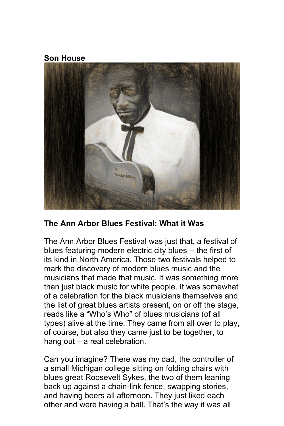**Son House**



#### **The Ann Arbor Blues Festival: What it Was**

The Ann Arbor Blues Festival was just that, a festival of blues featuring modern electric city blues -- the first of its kind in North America. Those two festivals helped to mark the discovery of modern blues music and the musicians that made that music. It was something more than just black music for white people. It was somewhat of a celebration for the black musicians themselves and the list of great blues artists present, on or off the stage, reads like a "Who's Who" of blues musicians (of all types) alive at the time. They came from all over to play, of course, but also they came just to be together, to hang out – a real celebration.

Can you imagine? There was my dad, the controller of a small Michigan college sitting on folding chairs with blues great Roosevelt Sykes, the two of them leaning back up against a chain-link fence, swapping stories, and having beers all afternoon. They just liked each other and were having a ball. That's the way it was all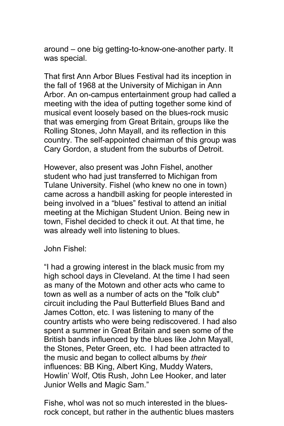around – one big getting-to-know-one-another party. It was special.

That first Ann Arbor Blues Festival had its inception in the fall of 1968 at the University of Michigan in Ann Arbor. An on-campus entertainment group had called a meeting with the idea of putting together some kind of musical event loosely based on the blues-rock music that was emerging from Great Britain, groups like the Rolling Stones, John Mayall, and its reflection in this country. The self-appointed chairman of this group was Cary Gordon, a student from the suburbs of Detroit.

However, also present was John Fishel, another student who had just transferred to Michigan from Tulane University. Fishel (who knew no one in town) came across a handbill asking for people interested in being involved in a "blues" festival to attend an initial meeting at the Michigan Student Union. Being new in town, Fishel decided to check it out. At that time, he was already well into listening to blues.

John Fishel:

"I had a growing interest in the black music from my high school days in Cleveland. At the time I had seen as many of the Motown and other acts who came to town as well as a number of acts on the "folk club" circuit including the Paul Butterfield Blues Band and James Cotton, etc. I was listening to many of the country artists who were being rediscovered. I had also spent a summer in Great Britain and seen some of the British bands influenced by the blues like John Mayall, the Stones, Peter Green, etc. I had been attracted to the music and began to collect albums by *their* influences: BB King, Albert King, Muddy Waters, Howlin' Wolf, Otis Rush, John Lee Hooker, and later Junior Wells and Magic Sam."

Fishe, whol was not so much interested in the bluesrock concept, but rather in the authentic blues masters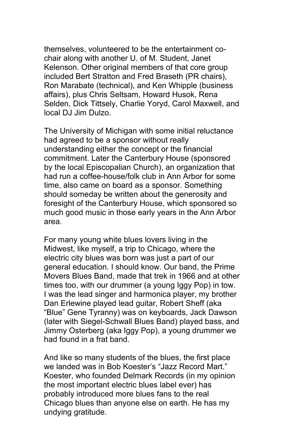themselves, volunteered to be the entertainment cochair along with another U. of M. Student, Janet Kelenson. Other original members of that core group included Bert Stratton and Fred Braseth (PR chairs), Ron Marabate (technical), and Ken Whipple (business affairs), plus Chris Seltsam, Howard Husok, Rena Selden, Dick Tittsely, Charlie Yoryd, Carol Maxwell, and local DJ Jim Dulzo.

The University of Michigan with some initial reluctance had agreed to be a sponsor without really understanding either the concept or the financial commitment. Later the Canterbury House (sponsored by the local Episcopalian Church), an organization that had run a coffee-house/folk club in Ann Arbor for some time, also came on board as a sponsor. Something should someday be written about the generosity and foresight of the Canterbury House, which sponsored so much good music in those early years in the Ann Arbor area.

For many young white blues lovers living in the Midwest, like myself, a trip to Chicago, where the electric city blues was born was just a part of our general education. I should know. Our band, the Prime Movers Blues Band, made that trek in 1966 and at other times too, with our drummer (a young Iggy Pop) in tow. I was the lead singer and harmonica player, my brother Dan Erlewine played lead guitar, Robert Sheff (aka "Blue" Gene Tyranny) was on keyboards, Jack Dawson (later with Siegel-Schwall Blues Band) played bass, and Jimmy Osterberg (aka Iggy Pop), a young drummer we had found in a frat band.

And like so many students of the blues, the first place we landed was in Bob Koester's "Jazz Record Mart." Koester, who founded Delmark Records (in my opinion the most important electric blues label ever) has probably introduced more blues fans to the real Chicago blues than anyone else on earth. He has my undying gratitude.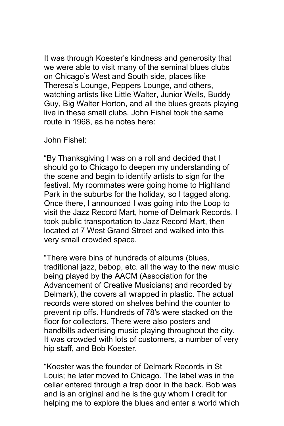It was through Koester's kindness and generosity that we were able to visit many of the seminal blues clubs on Chicago's West and South side, places like Theresa's Lounge, Peppers Lounge, and others, watching artists like Little Walter, Junior Wells, Buddy Guy, Big Walter Horton, and all the blues greats playing live in these small clubs. John Fishel took the same route in 1968, as he notes here:

John Fishel:

"By Thanksgiving I was on a roll and decided that I should go to Chicago to deepen my understanding of the scene and begin to identify artists to sign for the festival. My roommates were going home to Highland Park in the suburbs for the holiday, so I tagged along. Once there, I announced I was going into the Loop to visit the Jazz Record Mart, home of Delmark Records. I took public transportation to Jazz Record Mart, then located at 7 West Grand Street and walked into this very small crowded space.

"There were bins of hundreds of albums (blues, traditional jazz, bebop, etc. all the way to the new music being played by the AACM (Association for the Advancement of Creative Musicians) and recorded by Delmark), the covers all wrapped in plastic. The actual records were stored on shelves behind the counter to prevent rip offs. Hundreds of 78's were stacked on the floor for collectors. There were also posters and handbills advertising music playing throughout the city. It was crowded with lots of customers, a number of very hip staff, and Bob Koester.

"Koester was the founder of Delmark Records in St Louis; he later moved to Chicago. The label was in the cellar entered through a trap door in the back. Bob was and is an original and he is the guy whom I credit for helping me to explore the blues and enter a world which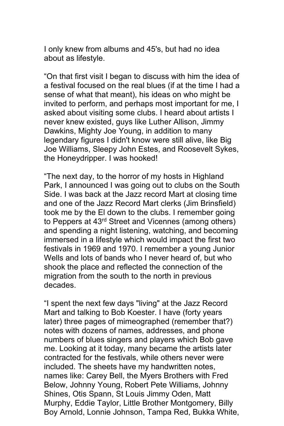I only knew from albums and 45's, but had no idea about as lifestyle.

"On that first visit I began to discuss with him the idea of a festival focused on the real blues (if at the time I had a sense of what that meant), his ideas on who might be invited to perform, and perhaps most important for me, I asked about visiting some clubs. I heard about artists I never knew existed, guys like Luther Allison, Jimmy Dawkins, Mighty Joe Young, in addition to many legendary figures I didn't know were still alive, like Big Joe Williams, Sleepy John Estes, and Roosevelt Sykes, the Honeydripper. I was hooked!

"The next day, to the horror of my hosts in Highland Park, I announced I was going out to clubs on the South Side. I was back at the Jazz record Mart at closing time and one of the Jazz Record Mart clerks (Jim Brinsfield) took me by the El down to the clubs. I remember going to Peppers at 43rd Street and Vicennes (among others) and spending a night listening, watching, and becoming immersed in a lifestyle which would impact the first two festivals in 1969 and 1970. I remember a young Junior Wells and lots of bands who I never heard of, but who shook the place and reflected the connection of the migration from the south to the north in previous decades.

"I spent the next few days "living" at the Jazz Record Mart and talking to Bob Koester. I have (forty years later) three pages of mimeographed (remember that?) notes with dozens of names, addresses, and phone numbers of blues singers and players which Bob gave me. Looking at it today, many became the artists later contracted for the festivals, while others never were included. The sheets have my handwritten notes, names like: Carey Bell, the Myers Brothers with Fred Below, Johnny Young, Robert Pete Williams, Johnny Shines, Otis Spann, St Louis Jimmy Oden, Matt Murphy, Eddie Taylor, Little Brother Montgomery, Billy Boy Arnold, Lonnie Johnson, Tampa Red, Bukka White,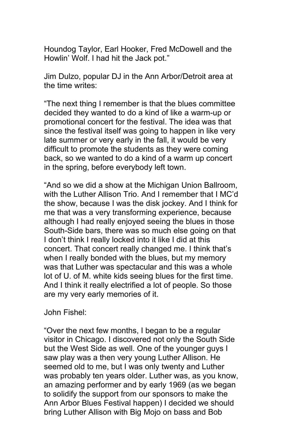Houndog Taylor, Earl Hooker, Fred McDowell and the Howlin' Wolf. I had hit the Jack pot."

Jim Dulzo, popular DJ in the Ann Arbor/Detroit area at the time writes:

"The next thing I remember is that the blues committee decided they wanted to do a kind of like a warm-up or promotional concert for the festival. The idea was that since the festival itself was going to happen in like very late summer or very early in the fall, it would be very difficult to promote the students as they were coming back, so we wanted to do a kind of a warm up concert in the spring, before everybody left town.

"And so we did a show at the Michigan Union Ballroom, with the Luther Allison Trio. And I remember that I MC'd the show, because I was the disk jockey. And I think for me that was a very transforming experience, because although I had really enjoyed seeing the blues in those South-Side bars, there was so much else going on that I don't think I really locked into it like I did at this concert. That concert really changed me. I think that's when I really bonded with the blues, but my memory was that Luther was spectacular and this was a whole lot of U. of M. white kids seeing blues for the first time. And I think it really electrified a lot of people. So those are my very early memories of it.

John Fishel:

"Over the next few months, I began to be a regular visitor in Chicago. I discovered not only the South Side but the West Side as well. One of the younger guys I saw play was a then very young Luther Allison. He seemed old to me, but I was only twenty and Luther was probably ten years older. Luther was, as you know, an amazing performer and by early 1969 (as we began to solidify the support from our sponsors to make the Ann Arbor Blues Festival happen) I decided we should bring Luther Allison with Big Mojo on bass and Bob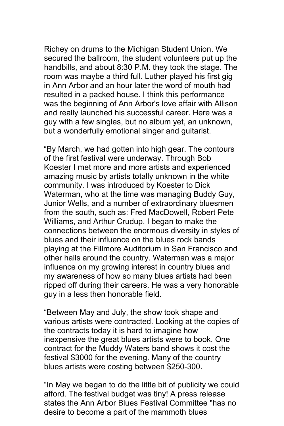Richey on drums to the Michigan Student Union. We secured the ballroom, the student volunteers put up the handbills, and about 8:30 P.M. they took the stage. The room was maybe a third full. Luther played his first gig in Ann Arbor and an hour later the word of mouth had resulted in a packed house. I think this performance was the beginning of Ann Arbor's love affair with Allison and really launched his successful career. Here was a guy with a few singles, but no album yet, an unknown, but a wonderfully emotional singer and guitarist.

"By March, we had gotten into high gear. The contours of the first festival were underway. Through Bob Koester I met more and more artists and experienced amazing music by artists totally unknown in the white community. I was introduced by Koester to Dick Waterman, who at the time was managing Buddy Guy, Junior Wells, and a number of extraordinary bluesmen from the south, such as: Fred MacDowell, Robert Pete Williams, and Arthur Crudup. I began to make the connections between the enormous diversity in styles of blues and their influence on the blues rock bands playing at the Fillmore Auditorium in San Francisco and other halls around the country. Waterman was a major influence on my growing interest in country blues and my awareness of how so many blues artists had been ripped off during their careers. He was a very honorable guy in a less then honorable field.

"Between May and July, the show took shape and various artists were contracted. Looking at the copies of the contracts today it is hard to imagine how inexpensive the great blues artists were to book. One contract for the Muddy Waters band shows it cost the festival \$3000 for the evening. Many of the country blues artists were costing between \$250-300.

"In May we began to do the little bit of publicity we could afford. The festival budget was tiny! A press release states the Ann Arbor Blues Festival Committee "has no desire to become a part of the mammoth blues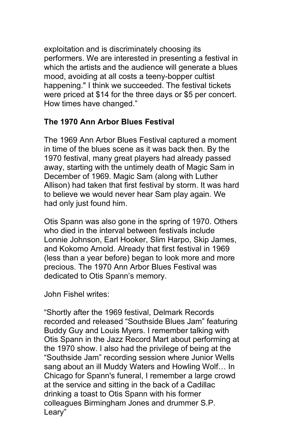exploitation and is discriminately choosing its performers. We are interested in presenting a festival in which the artists and the audience will generate a blues mood, avoiding at all costs a teeny-bopper cultist happening." I think we succeeded. The festival tickets were priced at \$14 for the three days or \$5 per concert. How times have changed."

### **The 1970 Ann Arbor Blues Festival**

The 1969 Ann Arbor Blues Festival captured a moment in time of the blues scene as it was back then. By the 1970 festival, many great players had already passed away, starting with the untimely death of Magic Sam in December of 1969. Magic Sam (along with Luther Allison) had taken that first festival by storm. It was hard to believe we would never hear Sam play again. We had only just found him.

Otis Spann was also gone in the spring of 1970. Others who died in the interval between festivals include Lonnie Johnson, Earl Hooker, Slim Harpo, Skip James, and Kokomo Arnold. Already that first festival in 1969 (less than a year before) began to look more and more precious. The 1970 Ann Arbor Blues Festival was dedicated to Otis Spann's memory.

John Fishel writes:

"Shortly after the 1969 festival, Delmark Records recorded and released "Southside Blues Jam" featuring Buddy Guy and Louis Myers. I remember talking with Otis Spann in the Jazz Record Mart about performing at the 1970 show. I also had the privilege of being at the "Southside Jam" recording session where Junior Wells sang about an ill Muddy Waters and Howling Wolf… In Chicago for Spann's funeral, I remember a large crowd at the service and sitting in the back of a Cadillac drinking a toast to Otis Spann with his former colleagues Birmingham Jones and drummer S.P. Leary"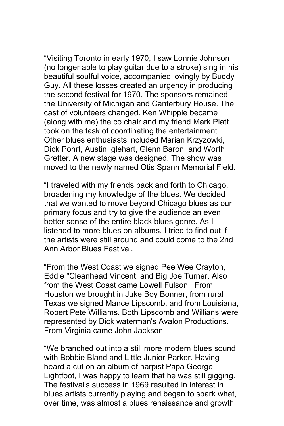"Visiting Toronto in early 1970, I saw Lonnie Johnson (no longer able to play guitar due to a stroke) sing in his beautiful soulful voice, accompanied lovingly by Buddy Guy. All these losses created an urgency in producing the second festival for 1970. The sponsors remained the University of Michigan and Canterbury House. The cast of volunteers changed. Ken Whipple became (along with me) the co chair and my friend Mark Platt took on the task of coordinating the entertainment. Other blues enthusiasts included Marian Krzyzowki, Dick Pohrt, Austin Iglehart, Glenn Baron, and Worth Gretter. A new stage was designed. The show was moved to the newly named Otis Spann Memorial Field.

"I traveled with my friends back and forth to Chicago, broadening my knowledge of the blues. We decided that we wanted to move beyond Chicago blues as our primary focus and try to give the audience an even better sense of the entire black blues genre. As I listened to more blues on albums, I tried to find out if the artists were still around and could come to the 2nd Ann Arbor Blues Festival.

"From the West Coast we signed Pee Wee Crayton, Eddie "Cleanhead Vincent, and Big Joe Turner. Also from the West Coast came Lowell Fulson. From Houston we brought in Juke Boy Bonner, from rural Texas we signed Mance Lipscomb, and from Louisiana, Robert Pete Williams. Both Lipscomb and Willians were represented by Dick waterman's Avalon Productions. From Virginia came John Jackson.

"We branched out into a still more modern blues sound with Bobbie Bland and Little Junior Parker. Having heard a cut on an album of harpist Papa George Lightfoot, I was happy to learn that he was still gigging. The festival's success in 1969 resulted in interest in blues artists currently playing and began to spark what, over time, was almost a blues renaissance and growth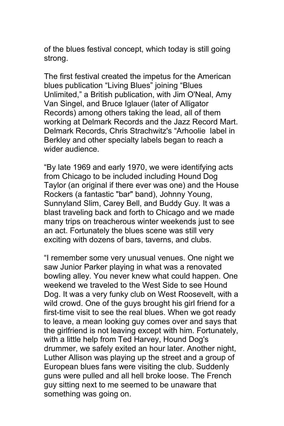of the blues festival concept, which today is still going strong.

The first festival created the impetus for the American blues publication "Living Blues" joining "Blues Unlimited," a British publication, with Jim O'Neal, Amy Van Singel, and Bruce Iglauer (later of Alligator Records) among others taking the lead, all of them working at Delmark Records and the Jazz Record Mart. Delmark Records, Chris Strachwitz's "Arhoolie label in Berkley and other specialty labels began to reach a wider audience.

"By late 1969 and early 1970, we were identifying acts from Chicago to be included including Hound Dog Taylor (an original if there ever was one) and the House Rockers (a fantastic "bar" band), Johnny Young, Sunnyland Slim, Carey Bell, and Buddy Guy. It was a blast traveling back and forth to Chicago and we made many trips on treacherous winter weekends just to see an act. Fortunately the blues scene was still very exciting with dozens of bars, taverns, and clubs.

"I remember some very unusual venues. One night we saw Junior Parker playing in what was a renovated bowling alley. You never knew what could happen. One weekend we traveled to the West Side to see Hound Dog. It was a very funky club on West Roosevelt, with a wild crowd. One of the guys brought his girl friend for a first-time visit to see the real blues. When we got ready to leave, a mean looking guy comes over and says that the girlfriend is not leaving except with him. Fortunately, with a little help from Ted Harvey, Hound Dog's drummer, we safely exited an hour later. Another night, Luther Allison was playing up the street and a group of European blues fans were visiting the club. Suddenly guns were pulled and all hell broke loose. The French guy sitting next to me seemed to be unaware that something was going on.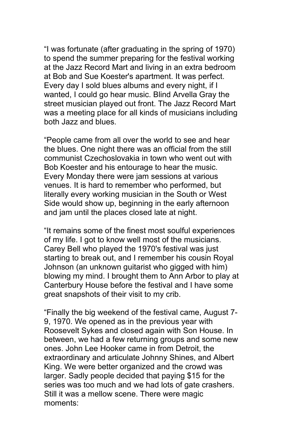"I was fortunate (after graduating in the spring of 1970) to spend the summer preparing for the festival working at the Jazz Record Mart and living in an extra bedroom at Bob and Sue Koester's apartment. It was perfect. Every day I sold blues albums and every night, if I wanted, I could go hear music. Blind Arvella Gray the street musician played out front. The Jazz Record Mart was a meeting place for all kinds of musicians including both Jazz and blues.

"People came from all over the world to see and hear the blues. One night there was an official from the still communist Czechoslovakia in town who went out with Bob Koester and his entourage to hear the music. Every Monday there were jam sessions at various venues. It is hard to remember who performed, but literally every working musician in the South or West Side would show up, beginning in the early afternoon and jam until the places closed late at night.

"It remains some of the finest most soulful experiences of my life. I got to know well most of the musicians. Carey Bell who played the 1970's festival was just starting to break out, and I remember his cousin Royal Johnson (an unknown guitarist who gigged with him) blowing my mind. I brought them to Ann Arbor to play at Canterbury House before the festival and I have some great snapshots of their visit to my crib.

"Finally the big weekend of the festival came, August 7- 9, 1970. We opened as in the previous year with Roosevelt Sykes and closed again with Son House. In between, we had a few returning groups and some new ones. John Lee Hooker came in from Detroit, the extraordinary and articulate Johnny Shines, and Albert King. We were better organized and the crowd was larger. Sadly people decided that paying \$15 for the series was too much and we had lots of gate crashers. Still it was a mellow scene. There were magic moments: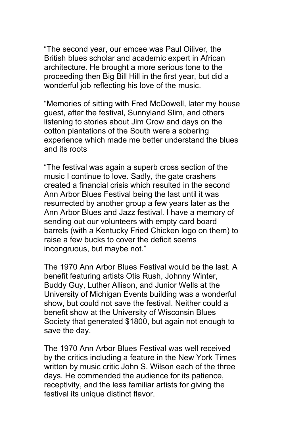"The second year, our emcee was Paul Oiliver, the British blues scholar and academic expert in African architecture. He brought a more serious tone to the proceeding then Big Bill Hill in the first year, but did a wonderful job reflecting his love of the music.

"Memories of sitting with Fred McDowell, later my house guest, after the festival, Sunnyland Slim, and others listening to stories about Jim Crow and days on the cotton plantations of the South were a sobering experience which made me better understand the blues and its roots

"The festival was again a superb cross section of the music I continue to love. Sadly, the gate crashers created a financial crisis which resulted in the second Ann Arbor Blues Festival being the last until it was resurrected by another group a few years later as the Ann Arbor Blues and Jazz festival. I have a memory of sending out our volunteers with empty card board barrels (with a Kentucky Fried Chicken logo on them) to raise a few bucks to cover the deficit seems incongruous, but maybe not."

The 1970 Ann Arbor Blues Festival would be the last. A benefit featuring artists Otis Rush, Johnny Winter, Buddy Guy, Luther Allison, and Junior Wells at the University of Michigan Events building was a wonderful show, but could not save the festival. Neither could a benefit show at the University of Wisconsin Blues Society that generated \$1800, but again not enough to save the day.

The 1970 Ann Arbor Blues Festival was well received by the critics including a feature in the New York Times written by music critic John S. Wilson each of the three days. He commended the audience for its patience, receptivity, and the less familiar artists for giving the festival its unique distinct flavor.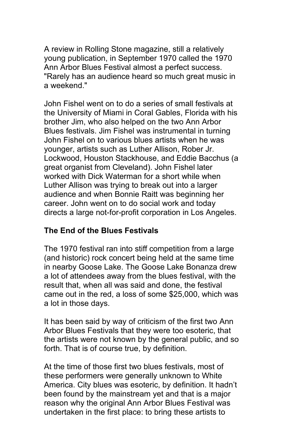A review in Rolling Stone magazine, still a relatively young publication, in September 1970 called the 1970 Ann Arbor Blues Festival almost a perfect success. "Rarely has an audience heard so much great music in a weekend."

John Fishel went on to do a series of small festivals at the University of Miami in Coral Gables, Florida with his brother Jim, who also helped on the two Ann Arbor Blues festivals. Jim Fishel was instrumental in turning John Fishel on to various blues artists when he was younger, artists such as Luther Allison, Rober Jr. Lockwood, Houston Stackhouse, and Eddie Bacchus (a great organist from Cleveland). John Fishel later worked with Dick Waterman for a short while when Luther Allison was trying to break out into a larger audience and when Bonnie Raitt was beginning her career. John went on to do social work and today directs a large not-for-profit corporation in Los Angeles.

## **The End of the Blues Festivals**

The 1970 festival ran into stiff competition from a large (and historic) rock concert being held at the same time in nearby Goose Lake. The Goose Lake Bonanza drew a lot of attendees away from the blues festival, with the result that, when all was said and done, the festival came out in the red, a loss of some \$25,000, which was a lot in those days.

It has been said by way of criticism of the first two Ann Arbor Blues Festivals that they were too esoteric, that the artists were not known by the general public, and so forth. That is of course true, by definition.

At the time of those first two blues festivals, most of these performers were generally unknown to White America. City blues was esoteric, by definition. It hadn't been found by the mainstream yet and that is a major reason why the original Ann Arbor Blues Festival was undertaken in the first place: to bring these artists to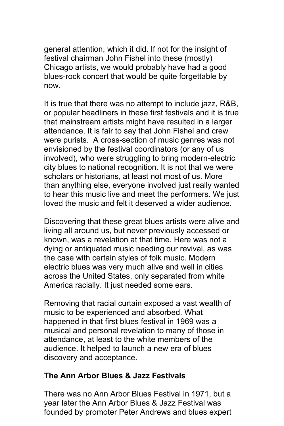general attention, which it did. If not for the insight of festival chairman John Fishel into these (mostly) Chicago artists, we would probably have had a good blues-rock concert that would be quite forgettable by now.

It is true that there was no attempt to include jazz, R&B, or popular headliners in these first festivals and it is true that mainstream artists might have resulted in a larger attendance. It is fair to say that John Fishel and crew were purists. A cross-section of music genres was not envisioned by the festival coordinators (or any of us involved), who were struggling to bring modern-electric city blues to national recognition. It is not that we were scholars or historians, at least not most of us. More than anything else, everyone involved just really wanted to hear this music live and meet the performers. We just loved the music and felt it deserved a wider audience.

Discovering that these great blues artists were alive and living all around us, but never previously accessed or known, was a revelation at that time. Here was not a dying or antiquated music needing our revival, as was the case with certain styles of folk music. Modern electric blues was very much alive and well in cities across the United States, only separated from white America racially. It just needed some ears.

Removing that racial curtain exposed a vast wealth of music to be experienced and absorbed. What happened in that first blues festival in 1969 was a musical and personal revelation to many of those in attendance, at least to the white members of the audience. It helped to launch a new era of blues discovery and acceptance.

#### **The Ann Arbor Blues & Jazz Festivals**

There was no Ann Arbor Blues Festival in 1971, but a year later the Ann Arbor Blues & Jazz Festival was founded by promoter Peter Andrews and blues expert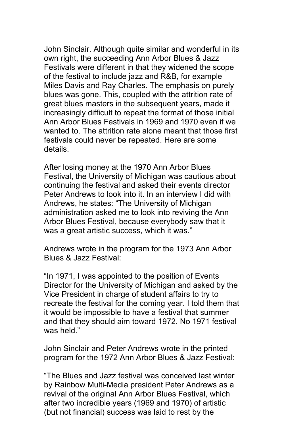John Sinclair. Although quite similar and wonderful in its own right, the succeeding Ann Arbor Blues & Jazz Festivals were different in that they widened the scope of the festival to include jazz and R&B, for example Miles Davis and Ray Charles. The emphasis on purely blues was gone. This, coupled with the attrition rate of great blues masters in the subsequent years, made it increasingly difficult to repeat the format of those initial Ann Arbor Blues Festivals in 1969 and 1970 even if we wanted to. The attrition rate alone meant that those first festivals could never be repeated. Here are some details.

After losing money at the 1970 Ann Arbor Blues Festival, the University of Michigan was cautious about continuing the festival and asked their events director Peter Andrews to look into it. In an interview I did with Andrews, he states: "The University of Michigan administration asked me to look into reviving the Ann Arbor Blues Festival, because everybody saw that it was a great artistic success, which it was."

Andrews wrote in the program for the 1973 Ann Arbor Blues & Jazz Festival:

"In 1971, I was appointed to the position of Events Director for the University of Michigan and asked by the Vice President in charge of student affairs to try to recreate the festival for the coming year. I told them that it would be impossible to have a festival that summer and that they should aim toward 1972. No 1971 festival was held."

John Sinclair and Peter Andrews wrote in the printed program for the 1972 Ann Arbor Blues & Jazz Festival:

"The Blues and Jazz festival was conceived last winter by Rainbow Multi-Media president Peter Andrews as a revival of the original Ann Arbor Blues Festival, which after two incredible years (1969 and 1970) of artistic (but not financial) success was laid to rest by the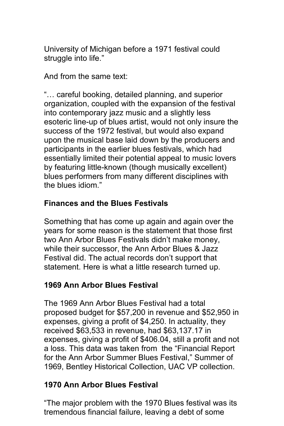University of Michigan before a 1971 festival could struggle into life."

And from the same text:

"… careful booking, detailed planning, and superior organization, coupled with the expansion of the festival into contemporary jazz music and a slightly less esoteric line-up of blues artist, would not only insure the success of the 1972 festival, but would also expand upon the musical base laid down by the producers and participants in the earlier blues festivals, which had essentially limited their potential appeal to music lovers by featuring little-known (though musically excellent) blues performers from many different disciplines with the blues idiom."

# **Finances and the Blues Festivals**

Something that has come up again and again over the years for some reason is the statement that those first two Ann Arbor Blues Festivals didn't make money, while their successor, the Ann Arbor Blues & Jazz Festival did. The actual records don't support that statement. Here is what a little research turned up.

## **1969 Ann Arbor Blues Festival**

The 1969 Ann Arbor Blues Festival had a total proposed budget for \$57,200 in revenue and \$52,950 in expenses, giving a profit of \$4,250. In actuality, they received \$63,533 in revenue, had \$63,137.17 in expenses, giving a profit of \$406.04, still a profit and not a loss. This data was taken from the "Financial Report for the Ann Arbor Summer Blues Festival," Summer of 1969, Bentley Historical Collection, UAC VP collection.

## **1970 Ann Arbor Blues Festival**

"The major problem with the 1970 Blues festival was its tremendous financial failure, leaving a debt of some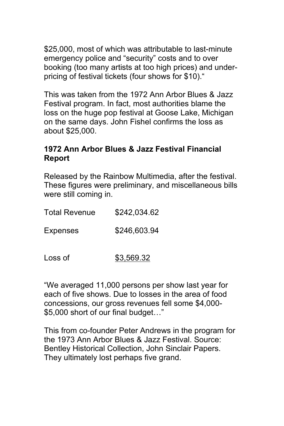\$25,000, most of which was attributable to last-minute emergency police and "security" costs and to over booking (too many artists at too high prices) and underpricing of festival tickets (four shows for \$10)."

This was taken from the 1972 Ann Arbor Blues & Jazz Festival program. In fact, most authorities blame the loss on the huge pop festival at Goose Lake, Michigan on the same days. John Fishel confirms the loss as about \$25,000.

### **1972 Ann Arbor Blues & Jazz Festival Financial Report**

Released by the Rainbow Multimedia, after the festival. These figures were preliminary, and miscellaneous bills were still coming in.

| Total Revenue   | \$242,034.62 |
|-----------------|--------------|
| <b>Expenses</b> | \$246,603.94 |
|                 |              |

Loss of  $$3,569.32$ 

"We averaged 11,000 persons per show last year for each of five shows. Due to losses in the area of food concessions, our gross revenues fell some \$4,000- \$5,000 short of our final budget…"

This from co-founder Peter Andrews in the program for the 1973 Ann Arbor Blues & Jazz Festival. Source: Bentley Historical Collection, John Sinclair Papers. They ultimately lost perhaps five grand.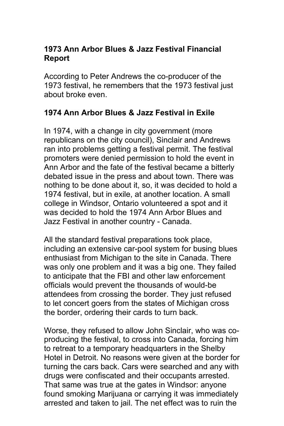### **1973 Ann Arbor Blues & Jazz Festival Financial Report**

According to Peter Andrews the co-producer of the 1973 festival, he remembers that the 1973 festival just about broke even.

### **1974 Ann Arbor Blues & Jazz Festival in Exile**

In 1974, with a change in city government (more republicans on the city council), Sinclair and Andrews ran into problems getting a festival permit. The festival promoters were denied permission to hold the event in Ann Arbor and the fate of the festival became a bitterly debated issue in the press and about town. There was nothing to be done about it, so, it was decided to hold a 1974 festival, but in exile, at another location. A small college in Windsor, Ontario volunteered a spot and it was decided to hold the 1974 Ann Arbor Blues and Jazz Festival in another country - Canada.

All the standard festival preparations took place, including an extensive car-pool system for busing blues enthusiast from Michigan to the site in Canada. There was only one problem and it was a big one. They failed to anticipate that the FBI and other law enforcement officials would prevent the thousands of would-be attendees from crossing the border. They just refused to let concert goers from the states of Michigan cross the border, ordering their cards to turn back.

Worse, they refused to allow John Sinclair, who was coproducing the festival, to cross into Canada, forcing him to retreat to a temporary headquarters in the Shelby Hotel in Detroit. No reasons were given at the border for turning the cars back. Cars were searched and any with drugs were confiscated and their occupants arrested. That same was true at the gates in Windsor: anyone found smoking Marijuana or carrying it was immediately arrested and taken to jail. The net effect was to ruin the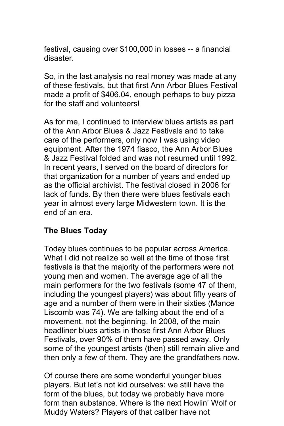festival, causing over \$100,000 in losses -- a financial disaster.

So, in the last analysis no real money was made at any of these festivals, but that first Ann Arbor Blues Festival made a profit of \$406.04, enough perhaps to buy pizza for the staff and volunteers!

As for me, I continued to interview blues artists as part of the Ann Arbor Blues & Jazz Festivals and to take care of the performers, only now I was using video equipment. After the 1974 fiasco, the Ann Arbor Blues & Jazz Festival folded and was not resumed until 1992. In recent years, I served on the board of directors for that organization for a number of years and ended up as the official archivist. The festival closed in 2006 for lack of funds. By then there were blues festivals each year in almost every large Midwestern town. It is the end of an era.

#### **The Blues Today**

Today blues continues to be popular across America. What I did not realize so well at the time of those first festivals is that the majority of the performers were not young men and women. The average age of all the main performers for the two festivals (some 47 of them, including the youngest players) was about fifty years of age and a number of them were in their sixties (Mance Liscomb was 74). We are talking about the end of a movement, not the beginning. In 2008, of the main headliner blues artists in those first Ann Arbor Blues Festivals, over 90% of them have passed away. Only some of the youngest artists (then) still remain alive and then only a few of them. They are the grandfathers now.

Of course there are some wonderful younger blues players. But let's not kid ourselves: we still have the form of the blues, but today we probably have more form than substance. Where is the next Howlin' Wolf or Muddy Waters? Players of that caliber have not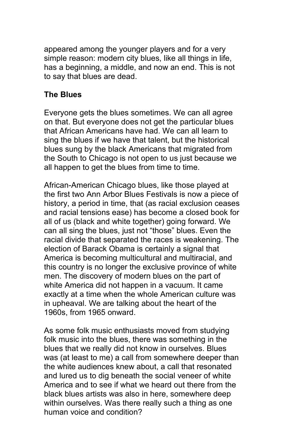appeared among the younger players and for a very simple reason: modern city blues, like all things in life, has a beginning, a middle, and now an end. This is not to say that blues are dead.

#### **The Blues**

Everyone gets the blues sometimes. We can all agree on that. But everyone does not get the particular blues that African Americans have had. We can all learn to sing the blues if we have that talent, but the historical blues sung by the black Americans that migrated from the South to Chicago is not open to us just because we all happen to get the blues from time to time.

African-American Chicago blues, like those played at the first two Ann Arbor Blues Festivals is now a piece of history, a period in time, that (as racial exclusion ceases and racial tensions ease) has become a closed book for all of us (black and white together) going forward. We can all sing the blues, just not "those" blues. Even the racial divide that separated the races is weakening. The election of Barack Obama is certainly a signal that America is becoming multicultural and multiracial, and this country is no longer the exclusive province of white men. The discovery of modern blues on the part of white America did not happen in a vacuum. It came exactly at a time when the whole American culture was in upheaval. We are talking about the heart of the 1960s, from 1965 onward.

As some folk music enthusiasts moved from studying folk music into the blues, there was something in the blues that we really did not know in ourselves. Blues was (at least to me) a call from somewhere deeper than the white audiences knew about, a call that resonated and lured us to dig beneath the social veneer of white America and to see if what we heard out there from the black blues artists was also in here, somewhere deep within ourselves. Was there really such a thing as one human voice and condition?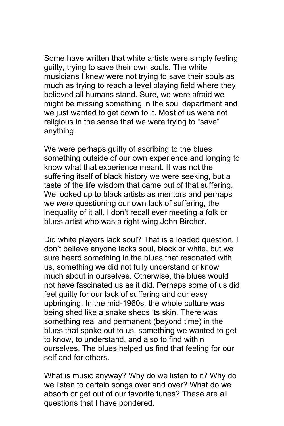Some have written that white artists were simply feeling guilty, trying to save their own souls. The white musicians I knew were not trying to save their souls as much as trying to reach a level playing field where they believed all humans stand. Sure, we were afraid we might be missing something in the soul department and we just wanted to get down to it. Most of us were not religious in the sense that we were trying to "save" anything.

We were perhaps guilty of ascribing to the blues something outside of our own experience and longing to know what that experience meant. It was not the suffering itself of black history we were seeking, but a taste of the life wisdom that came out of that suffering. We looked up to black artists as mentors and perhaps we *were* questioning our own lack of suffering, the inequality of it all. I don't recall ever meeting a folk or blues artist who was a right-wing John Bircher.

Did white players lack soul? That is a loaded question. I don't believe anyone lacks soul, black or white, but we sure heard something in the blues that resonated with us, something we did not fully understand or know much about in ourselves. Otherwise, the blues would not have fascinated us as it did. Perhaps some of us did feel guilty for our lack of suffering and our easy upbringing. In the mid-1960s, the whole culture was being shed like a snake sheds its skin. There was something real and permanent (beyond time) in the blues that spoke out to us, something we wanted to get to know, to understand, and also to find within ourselves. The blues helped us find that feeling for our self and for others.

What is music anyway? Why do we listen to it? Why do we listen to certain songs over and over? What do we absorb or get out of our favorite tunes? These are all questions that I have pondered.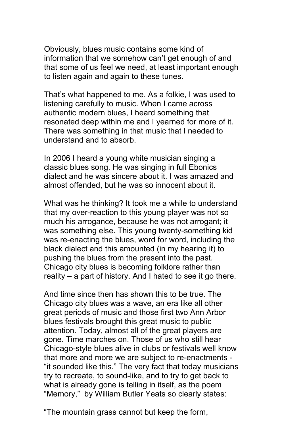Obviously, blues music contains some kind of information that we somehow can't get enough of and that some of us feel we need, at least important enough to listen again and again to these tunes.

That's what happened to me. As a folkie, I was used to listening carefully to music. When I came across authentic modern blues, I heard something that resonated deep within me and I yearned for more of it. There was something in that music that I needed to understand and to absorb.

In 2006 I heard a young white musician singing a classic blues song. He was singing in full Ebonics dialect and he was sincere about it. I was amazed and almost offended, but he was so innocent about it.

What was he thinking? It took me a while to understand that my over-reaction to this young player was not so much his arrogance, because he was not arrogant; it was something else. This young twenty-something kid was re-enacting the blues, word for word, including the black dialect and this amounted (in my hearing it) to pushing the blues from the present into the past. Chicago city blues is becoming folklore rather than reality – a part of history. And I hated to see it go there.

And time since then has shown this to be true. The Chicago city blues was a wave, an era like all other great periods of music and those first two Ann Arbor blues festivals brought this great music to public attention. Today, almost all of the great players are gone. Time marches on. Those of us who still hear Chicago-style blues alive in clubs or festivals well know that more and more we are subject to re-enactments - "it sounded like this." The very fact that today musicians try to recreate, to sound-like, and to try to get back to what is already gone is telling in itself, as the poem "Memory," by William Butler Yeats so clearly states:

"The mountain grass cannot but keep the form,